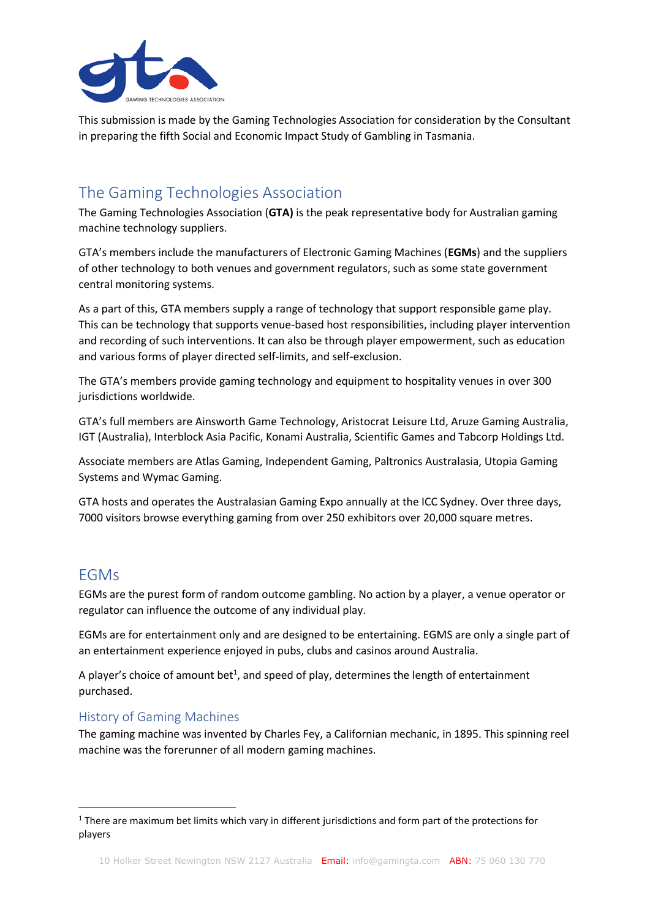

This submission is made by the Gaming Technologies Association for consideration by the Consultant in preparing the fifth Social and Economic Impact Study of Gambling in Tasmania.

# The Gaming Technologies Association

The Gaming Technologies Association (**GTA)** is the peak representative body for Australian gaming machine technology suppliers.

GTA's members include the manufacturers of Electronic Gaming Machines (**EGMs**) and the suppliers of other technology to both venues and government regulators, such as some state government central monitoring systems.

As a part of this, GTA members supply a range of technology that support responsible game play. This can be technology that supports venue-based host responsibilities, including player intervention and recording of such interventions. It can also be through player empowerment, such as education and various forms of player directed self-limits, and self-exclusion.

The GTA's members provide gaming technology and equipment to hospitality venues in over 300 jurisdictions worldwide.

GTA's full members are Ainsworth Game Technology, Aristocrat Leisure Ltd, Aruze Gaming Australia, IGT (Australia), Interblock Asia Pacific, Konami Australia, Scientific Games and Tabcorp Holdings Ltd.

Associate members are Atlas Gaming, Independent Gaming, Paltronics Australasia, Utopia Gaming Systems and Wymac Gaming.

GTA hosts and operates the Australasian Gaming Expo annually at the ICC Sydney. Over three days, 7000 visitors browse everything gaming from over 250 exhibitors over 20,000 square metres.

# EGMs

EGMs are the purest form of random outcome gambling. No action by a player, a venue operator or regulator can influence the outcome of any individual play.

EGMs are for entertainment only and are designed to be entertaining. EGMS are only a single part of an entertainment experience enjoyed in pubs, clubs and casinos around Australia.

A player's choice of amount bet<sup>1</sup>, and speed of play, determines the length of entertainment purchased.

## History of Gaming Machines

The gaming machine was invented by Charles Fey, a Californian mechanic, in 1895. This spinning reel machine was the forerunner of all modern gaming machines.

 $1$  There are maximum bet limits which vary in different jurisdictions and form part of the protections for players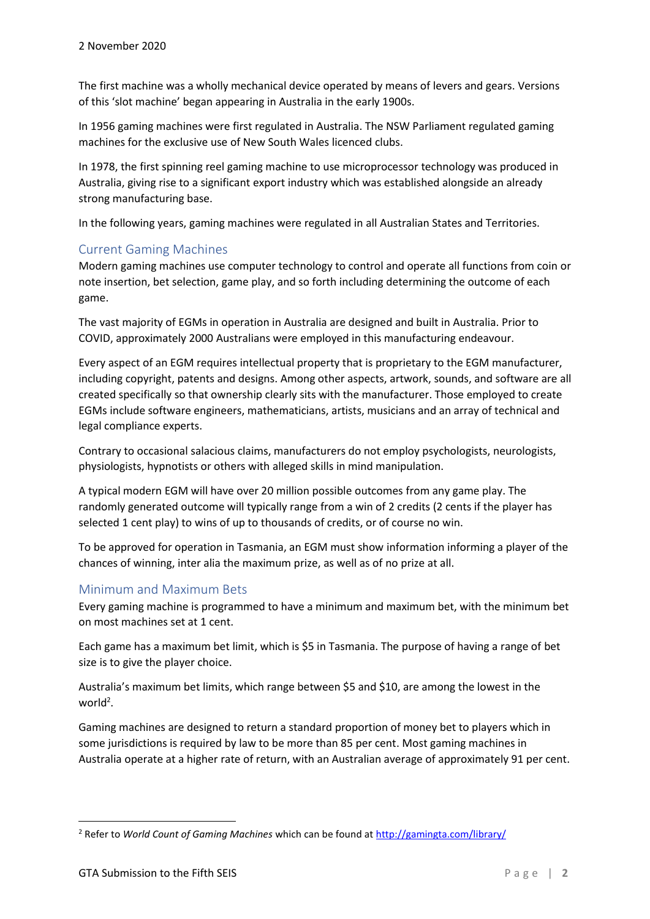The first machine was a wholly mechanical device operated by means of levers and gears. Versions of this 'slot machine' began appearing in Australia in the early 1900s.

In 1956 gaming machines were first regulated in Australia. The NSW Parliament regulated gaming machines for the exclusive use of New South Wales licenced clubs.

In 1978, the first spinning reel gaming machine to use microprocessor technology was produced in Australia, giving rise to a significant export industry which was established alongside an already strong manufacturing base.

In the following years, gaming machines were regulated in all Australian States and Territories.

### Current Gaming Machines

Modern gaming machines use computer technology to control and operate all functions from coin or note insertion, bet selection, game play, and so forth including determining the outcome of each game.

The vast majority of EGMs in operation in Australia are designed and built in Australia. Prior to COVID, approximately 2000 Australians were employed in this manufacturing endeavour.

Every aspect of an EGM requires intellectual property that is proprietary to the EGM manufacturer, including copyright, patents and designs. Among other aspects, artwork, sounds, and software are all created specifically so that ownership clearly sits with the manufacturer. Those employed to create EGMs include software engineers, mathematicians, artists, musicians and an array of technical and legal compliance experts.

Contrary to occasional salacious claims, manufacturers do not employ psychologists, neurologists, physiologists, hypnotists or others with alleged skills in mind manipulation.

A typical modern EGM will have over 20 million possible outcomes from any game play. The randomly generated outcome will typically range from a win of 2 credits (2 cents if the player has selected 1 cent play) to wins of up to thousands of credits, or of course no win.

To be approved for operation in Tasmania, an EGM must show information informing a player of the chances of winning, inter alia the maximum prize, as well as of no prize at all.

## Minimum and Maximum Bets

Every gaming machine is programmed to have a minimum and maximum bet, with the minimum bet on most machines set at 1 cent.

Each game has a maximum bet limit, which is \$5 in Tasmania. The purpose of having a range of bet size is to give the player choice.

Australia's maximum bet limits, which range between \$5 and \$10, are among the lowest in the world<sup>2</sup>.

Gaming machines are designed to return a standard proportion of money bet to players which in some jurisdictions is required by law to be more than 85 per cent. Most gaming machines in Australia operate at a higher rate of return, with an Australian average of approximately 91 per cent.

<sup>2</sup> Refer to *World Count of Gaming Machines* which can be found a[t http://gamingta.com/library/](http://gamingta.com/library/)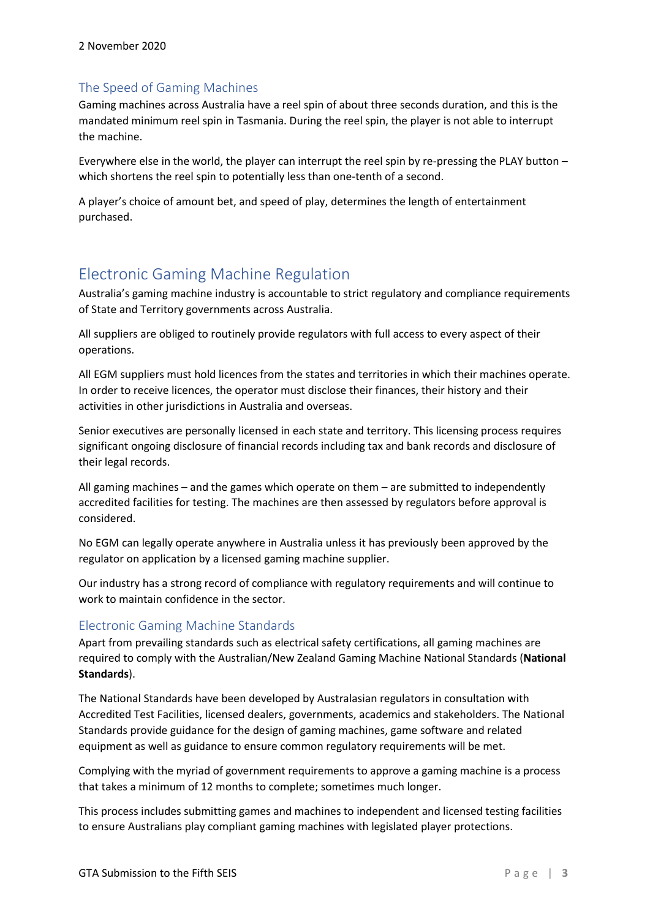## The Speed of Gaming Machines

Gaming machines across Australia have a reel spin of about three seconds duration, and this is the mandated minimum reel spin in Tasmania. During the reel spin, the player is not able to interrupt the machine.

Everywhere else in the world, the player can interrupt the reel spin by re-pressing the PLAY button – which shortens the reel spin to potentially less than one-tenth of a second.

A player's choice of amount bet, and speed of play, determines the length of entertainment purchased.

# Electronic Gaming Machine Regulation

Australia's gaming machine industry is accountable to strict regulatory and compliance requirements of State and Territory governments across Australia.

All suppliers are obliged to routinely provide regulators with full access to every aspect of their operations.

All EGM suppliers must hold licences from the states and territories in which their machines operate. In order to receive licences, the operator must disclose their finances, their history and their activities in other jurisdictions in Australia and overseas.

Senior executives are personally licensed in each state and territory. This licensing process requires significant ongoing disclosure of financial records including tax and bank records and disclosure of their legal records.

All gaming machines – and the games which operate on them – are submitted to independently accredited facilities for testing. The machines are then assessed by regulators before approval is considered.

No EGM can legally operate anywhere in Australia unless it has previously been approved by the regulator on application by a licensed gaming machine supplier.

Our industry has a strong record of compliance with regulatory requirements and will continue to work to maintain confidence in the sector.

## Electronic Gaming Machine Standards

Apart from prevailing standards such as electrical safety certifications, all gaming machines are required to comply with the Australian/New Zealand Gaming Machine National Standards (**National Standards**).

The National Standards have been developed by Australasian regulators in consultation with Accredited Test Facilities, licensed dealers, governments, academics and stakeholders. The National Standards provide guidance for the design of gaming machines, game software and related equipment as well as guidance to ensure common regulatory requirements will be met.

Complying with the myriad of government requirements to approve a gaming machine is a process that takes a minimum of 12 months to complete; sometimes much longer.

This process includes submitting games and machines to independent and licensed testing facilities to ensure Australians play compliant gaming machines with legislated player protections.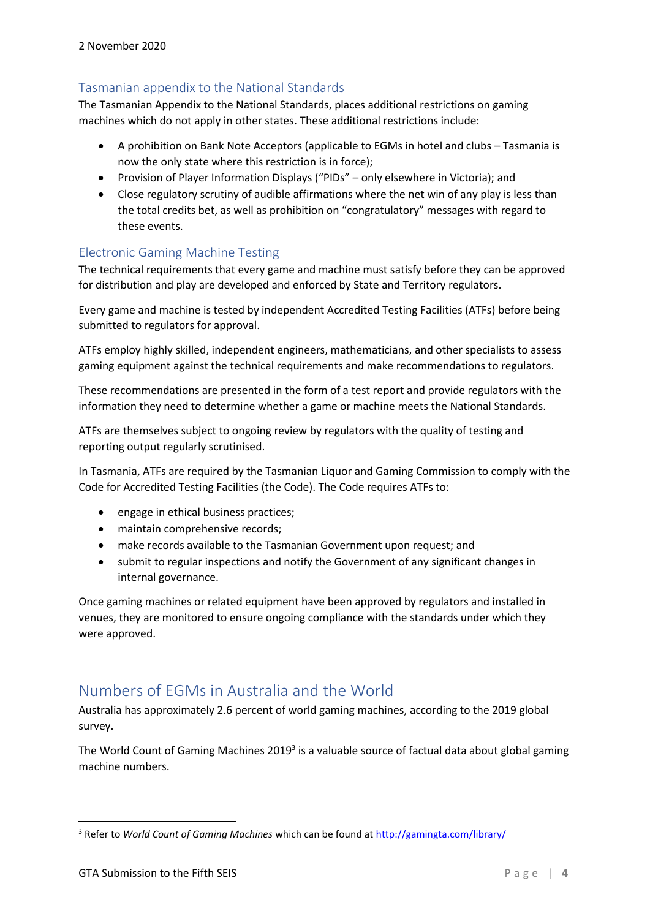## Tasmanian appendix to the National Standards

The Tasmanian Appendix to the National Standards, places additional restrictions on gaming machines which do not apply in other states. These additional restrictions include:

- A prohibition on Bank Note Acceptors (applicable to EGMs in hotel and clubs Tasmania is now the only state where this restriction is in force);
- Provision of Player Information Displays ("PIDs" only elsewhere in Victoria); and
- Close regulatory scrutiny of audible affirmations where the net win of any play is less than the total credits bet, as well as prohibition on "congratulatory" messages with regard to these events.

## Electronic Gaming Machine Testing

The technical requirements that every game and machine must satisfy before they can be approved for distribution and play are developed and enforced by State and Territory regulators.

Every game and machine is tested by independent Accredited Testing Facilities (ATFs) before being submitted to regulators for approval.

ATFs employ highly skilled, independent engineers, mathematicians, and other specialists to assess gaming equipment against the technical requirements and make recommendations to regulators.

These recommendations are presented in the form of a test report and provide regulators with the information they need to determine whether a game or machine meets the National Standards.

ATFs are themselves subject to ongoing review by regulators with the quality of testing and reporting output regularly scrutinised.

In Tasmania, ATFs are required by the Tasmanian Liquor and Gaming Commission to comply with the Code for Accredited Testing Facilities (the Code). The Code requires ATFs to:

- engage in ethical business practices;
- maintain comprehensive records;
- make records available to the Tasmanian Government upon request; and
- submit to regular inspections and notify the Government of any significant changes in internal governance.

Once gaming machines or related equipment have been approved by regulators and installed in venues, they are monitored to ensure ongoing compliance with the standards under which they were approved.

## Numbers of EGMs in Australia and the World

Australia has approximately 2.6 percent of world gaming machines, according to the 2019 global survey.

The World Count of Gaming Machines 2019<sup>3</sup> is a valuable source of factual data about global gaming machine numbers.

<sup>3</sup> Refer to *World Count of Gaming Machines* which can be found a[t http://gamingta.com/library/](http://gamingta.com/library/)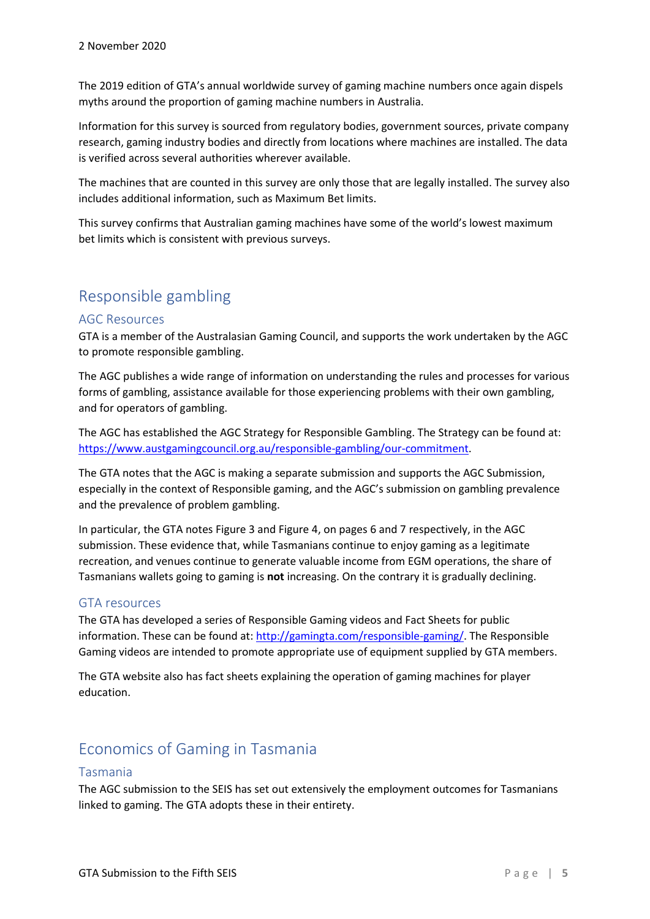The 2019 edition of GTA's annual worldwide survey of gaming machine numbers once again dispels myths around the proportion of gaming machine numbers in Australia.

Information for this survey is sourced from regulatory bodies, government sources, private company research, gaming industry bodies and directly from locations where machines are installed. The data is verified across several authorities wherever available.

The machines that are counted in this survey are only those that are legally installed. The survey also includes additional information, such as Maximum Bet limits.

This survey confirms that Australian gaming machines have some of the world's lowest maximum bet limits which is consistent with previous surveys.

# Responsible gambling

### AGC Resources

GTA is a member of the Australasian Gaming Council, and supports the work undertaken by the AGC to promote responsible gambling.

The AGC publishes a wide range of information on understanding the rules and processes for various forms of gambling, assistance available for those experiencing problems with their own gambling, and for operators of gambling.

The AGC has established the AGC Strategy for Responsible Gambling. The Strategy can be found at: [https://www.austgamingcouncil.org.au/responsible-gambling/our-commitment.](https://www.austgamingcouncil.org.au/responsible-gambling/our-commitment)

The GTA notes that the AGC is making a separate submission and supports the AGC Submission, especially in the context of Responsible gaming, and the AGC's submission on gambling prevalence and the prevalence of problem gambling.

In particular, the GTA notes Figure 3 and Figure 4, on pages 6 and 7 respectively, in the AGC submission. These evidence that, while Tasmanians continue to enjoy gaming as a legitimate recreation, and venues continue to generate valuable income from EGM operations, the share of Tasmanians wallets going to gaming is **not** increasing. On the contrary it is gradually declining.

### GTA resources

The GTA has developed a series of Responsible Gaming videos and Fact Sheets for public information. These can be found at[: http://gamingta.com/responsible-gaming/.](http://gamingta.com/responsible-gaming/) The Responsible Gaming videos are intended to promote appropriate use of equipment supplied by GTA members.

The GTA website also has fact sheets explaining the operation of gaming machines for player education.

# Economics of Gaming in Tasmania

### Tasmania

The AGC submission to the SEIS has set out extensively the employment outcomes for Tasmanians linked to gaming. The GTA adopts these in their entirety.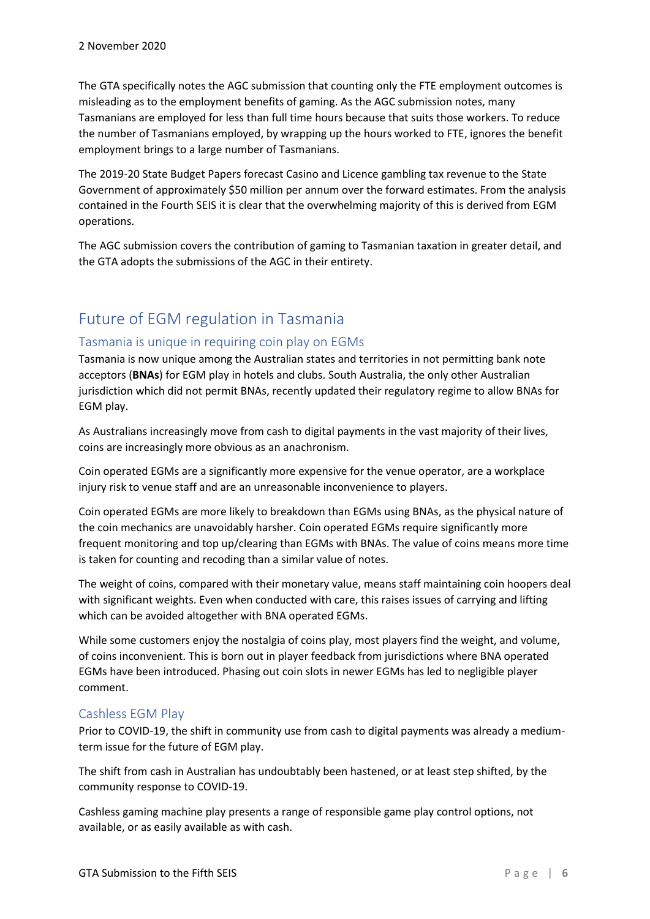The GTA specifically notes the AGC submission that counting only the FTE employment outcomes is misleading as to the employment benefits of gaming. As the AGC submission notes, many Tasmanians are employed for less than full time hours because that suits those workers. To reduce the number of Tasmanians employed, by wrapping up the hours worked to FTE, ignores the benefit employment brings to a large number of Tasmanians.

The 2019-20 State Budget Papers forecast Casino and Licence gambling tax revenue to the State Government of approximately \$50 million per annum over the forward estimates. From the analysis contained in the Fourth SEIS it is clear that the overwhelming majority of this is derived from EGM operations.

The AGC submission covers the contribution of gaming to Tasmanian taxation in greater detail, and the GTA adopts the submissions of the AGC in their entirety.

# Future of EGM regulation in Tasmania

### Tasmania is unique in requiring coin play on EGMs

Tasmania is now unique among the Australian states and territories in not permitting bank note acceptors (**BNAs**) for EGM play in hotels and clubs. South Australia, the only other Australian jurisdiction which did not permit BNAs, recently updated their regulatory regime to allow BNAs for EGM play.

As Australians increasingly move from cash to digital payments in the vast majority of their lives, coins are increasingly more obvious as an anachronism.

Coin operated EGMs are a significantly more expensive for the venue operator, are a workplace injury risk to venue staff and are an unreasonable inconvenience to players.

Coin operated EGMs are more likely to breakdown than EGMs using BNAs, as the physical nature of the coin mechanics are unavoidably harsher. Coin operated EGMs require significantly more frequent monitoring and top up/clearing than EGMs with BNAs. The value of coins means more time is taken for counting and recoding than a similar value of notes.

The weight of coins, compared with their monetary value, means staff maintaining coin hoopers deal with significant weights. Even when conducted with care, this raises issues of carrying and lifting which can be avoided altogether with BNA operated EGMs.

While some customers enjoy the nostalgia of coins play, most players find the weight, and volume, of coins inconvenient. This is born out in player feedback from jurisdictions where BNA operated EGMs have been introduced. Phasing out coin slots in newer EGMs has led to negligible player comment.

### Cashless EGM Play

Prior to COVID-19, the shift in community use from cash to digital payments was already a mediumterm issue for the future of EGM play.

The shift from cash in Australian has undoubtably been hastened, or at least step shifted, by the community response to COVID-19.

Cashless gaming machine play presents a range of responsible game play control options, not available, or as easily available as with cash.